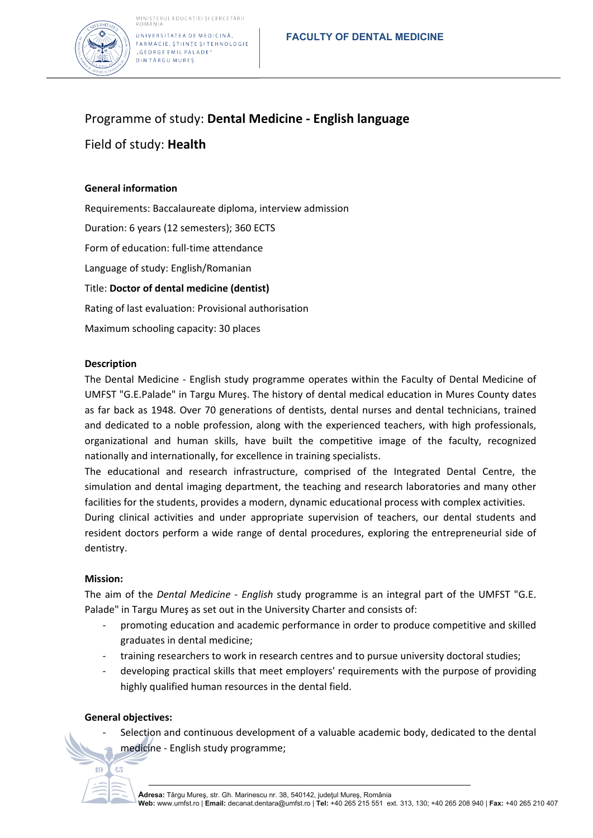

UNIVERSITATEA DE MEDICINĂ. FARMACIE, ȘTIINȚE ȘI TEHNOLOGIE "GEORGE EMIL PALADE" **DINTÂRGU MUREȘ** 

# Programme of study: **Dental Medicine - English language**

## Field of study: **Health**

### **General information**

Requirements: Baccalaureate diploma, interview admission Duration: 6 years (12 semesters); 360 ECTS Form of education: full-time attendance Language of study: English/Romanian Title: **Doctor of dental medicine (dentist)** Rating of last evaluation: Provisional authorisation Maximum schooling capacity: 30 places

#### **Description**

The Dental Medicine - English study programme operates within the Faculty of Dental Medicine of UMFST "G.E.Palade" in Targu Mureş. The history of dental medical education in Mures County dates as far back as 1948. Over 70 generations of dentists, dental nurses and dental technicians, trained and dedicated to a noble profession, along with the experienced teachers, with high professionals, organizational and human skills, have built the competitive image of the faculty, recognized nationally and internationally, for excellence in training specialists.

The educational and research infrastructure, comprised of the Integrated Dental Centre, the simulation and dental imaging department, the teaching and research laboratories and many other facilities for the students, provides a modern, dynamic educational process with complex activities.

During clinical activities and under appropriate supervision of teachers, our dental students and resident doctors perform a wide range of dental procedures, exploring the entrepreneurial side of dentistry.

#### **Mission:**

The aim of the *Dental Medicine - English* study programme is an integral part of the UMFST "G.E. Palade" in Targu Mureş as set out in the University Charter and consists of:

- promoting education and academic performance in order to produce competitive and skilled graduates in dental medicine;
- training researchers to work in research centres and to pursue university doctoral studies;
- developing practical skills that meet employers' requirements with the purpose of providing highly qualified human resources in the dental field.

#### **General objectives:**

Selection and continuous development of a valuable academic body, dedicated to the dental medicine - English study programme;

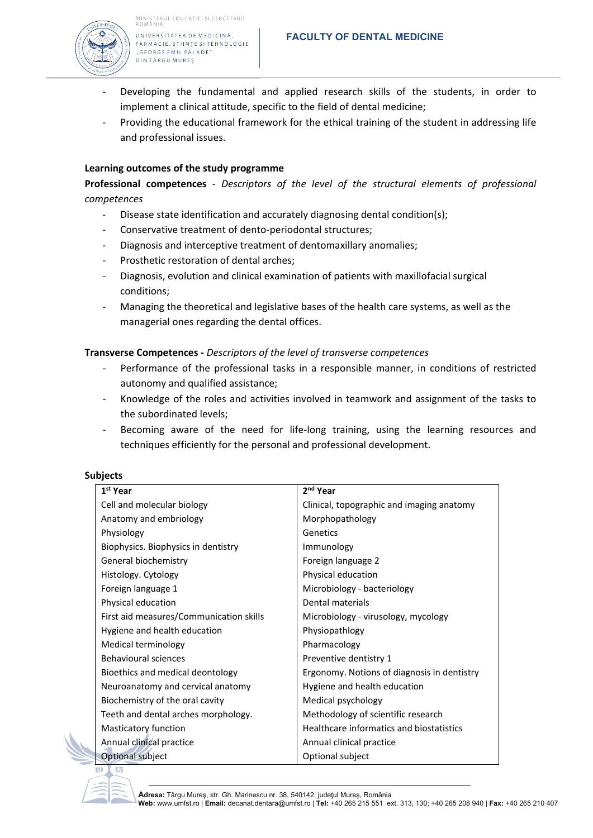

#### UNIVERSITATEA DE MEDICINĂ, FARMACIE, ȘTIINȚE ȘI TEHNOLOGIE "GEORGE EMIL PALADE"

**DINTÂRGU MUREȘ** 

- Developing the fundamental and applied research skills of the students, in order to implement a clinical attitude, specific to the field of dental medicine;
- Providing the educational framework for the ethical training of the student in addressing life and professional issues.

#### **Learning outcomes of the study programme**

**Professional competences** *- Descriptors of the level of the structural elements of professional competences*

- Disease state identification and accurately diagnosing dental condition(s);
- Conservative treatment of dento-periodontal structures;
- Diagnosis and interceptive treatment of dentomaxillary anomalies;
- Prosthetic restoration of dental arches;
- Diagnosis, evolution and clinical examination of patients with maxillofacial surgical conditions;
- Managing the theoretical and legislative bases of the health care systems, as well as the managerial ones regarding the dental offices.

#### **Transverse Competences -** *Descriptors of the level of transverse competences*

- Performance of the professional tasks in a responsible manner, in conditions of restricted autonomy and qualified assistance;
- Knowledge of the roles and activities involved in teamwork and assignment of the tasks to the subordinated levels;
- Becoming aware of the need for life-long training, using the learning resources and techniques efficiently for the personal and professional development.

#### **Subjects**

| 1 <sup>st</sup> Year                    | 2 <sup>nd</sup> Year                        |
|-----------------------------------------|---------------------------------------------|
| Cell and molecular biology              | Clinical, topographic and imaging anatomy   |
| Anatomy and embriology                  | Morphopathology                             |
| Physiology                              | Genetics                                    |
| Biophysics. Biophysics in dentistry     | Immunology                                  |
| General biochemistry                    | Foreign language 2                          |
| Histology. Cytology                     | Physical education                          |
| Foreign language 1                      | Microbiology - bacteriology                 |
| Physical education                      | Dental materials                            |
| First aid measures/Communication skills | Microbiology - virusology, mycology         |
| Hygiene and health education            | Physiopathlogy                              |
| Medical terminology                     | Pharmacology                                |
| <b>Behavioural sciences</b>             | Preventive dentistry 1                      |
| Bioethics and medical deontology        | Ergonomy. Notions of diagnosis in dentistry |
| Neuroanatomy and cervical anatomy       | Hygiene and health education                |
| Biochemistry of the oral cavity         | Medical psychology                          |
| Teeth and dental arches morphology.     | Methodology of scientific research          |
| Masticatory function                    | Healthcare informatics and biostatistics    |
| Annual clinical practice                | Annual clinical practice                    |
| <b>Optional subject</b>                 | Optional subject                            |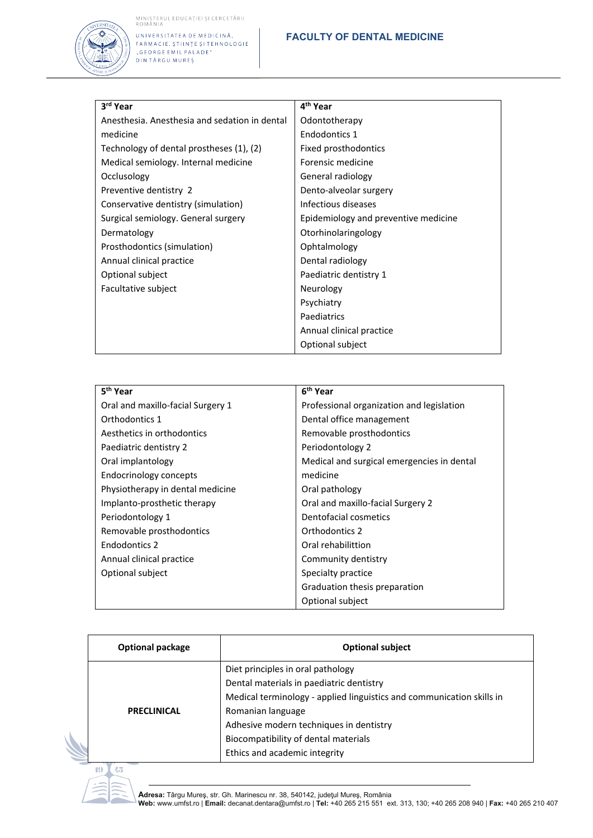# MINISTERUL EDUCAȚIEI ȘI CERCETĂRII<br>ROMÂNIA



IOMININ<br>FARMACIE, ȘTIINȚE ȘI TEHNOLOGIE<br>"GEORGE EMIL PALADE"<br>DIN TÂRGU MUREȘ

#### **FACULTY OF DENTAL MEDICINE**

| 3rd Year                                      | 4 <sup>th</sup> Year                 |
|-----------------------------------------------|--------------------------------------|
| Anesthesia. Anesthesia and sedation in dental | Odontotherapy                        |
| medicine                                      | Endodontics 1                        |
| Technology of dental prostheses (1), (2)      | Fixed prosthodontics                 |
| Medical semiology. Internal medicine          | Forensic medicine                    |
| Occlusology                                   | General radiology                    |
| Preventive dentistry 2                        | Dento-alveolar surgery               |
| Conservative dentistry (simulation)           | Infectious diseases                  |
| Surgical semiology. General surgery           | Epidemiology and preventive medicine |
| Dermatology                                   | Otorhinolaringology                  |
| Prosthodontics (simulation)                   | Ophtalmology                         |
| Annual clinical practice                      | Dental radiology                     |
| Optional subject                              | Paediatric dentistry 1               |
| Facultative subject                           | Neurology                            |
|                                               | Psychiatry                           |
|                                               | Paediatrics                          |
|                                               | Annual clinical practice             |
|                                               | Optional subject                     |

| 5 <sup>th</sup> Year              | 6 <sup>th</sup> Year                       |
|-----------------------------------|--------------------------------------------|
| Oral and maxillo-facial Surgery 1 | Professional organization and legislation  |
| Orthodontics 1                    | Dental office management                   |
| Aesthetics in orthodontics        | Removable prosthodontics                   |
| Paediatric dentistry 2            | Periodontology 2                           |
| Oral implantology                 | Medical and surgical emergencies in dental |
| Endocrinology concepts            | medicine                                   |
| Physiotherapy in dental medicine  | Oral pathology                             |
| Implanto-prosthetic therapy       | Oral and maxillo-facial Surgery 2          |
| Periodontology 1                  | Dentofacial cosmetics                      |
| Removable prosthodontics          | Orthodontics 2                             |
| Endodontics 2                     | Oral rehabilittion                         |
| Annual clinical practice          | Community dentistry                        |
| Optional subject                  | Specialty practice                         |
|                                   | Graduation thesis preparation              |
|                                   | Optional subject                           |

| <b>Optional subject</b>                                                                                                                                                                                                                                                                         |
|-------------------------------------------------------------------------------------------------------------------------------------------------------------------------------------------------------------------------------------------------------------------------------------------------|
| Diet principles in oral pathology<br>Dental materials in paediatric dentistry<br>Medical terminology - applied linguistics and communication skills in<br>Romanian language<br>Adhesive modern techniques in dentistry<br>Biocompatibility of dental materials<br>Ethics and academic integrity |
|                                                                                                                                                                                                                                                                                                 |

**Adresa:** Târgu Mureş, str. Gh. Marinescu nr. 38, 540142, judeţul Mureş, România<br>**Web:** www.umfst.ro | **Email:** decanat.dentara@umfst.ro | **Tel:** +40 265 215 551 ext. 313, 130; +40 265 208 940 | **Fax:** +40 265 210 407